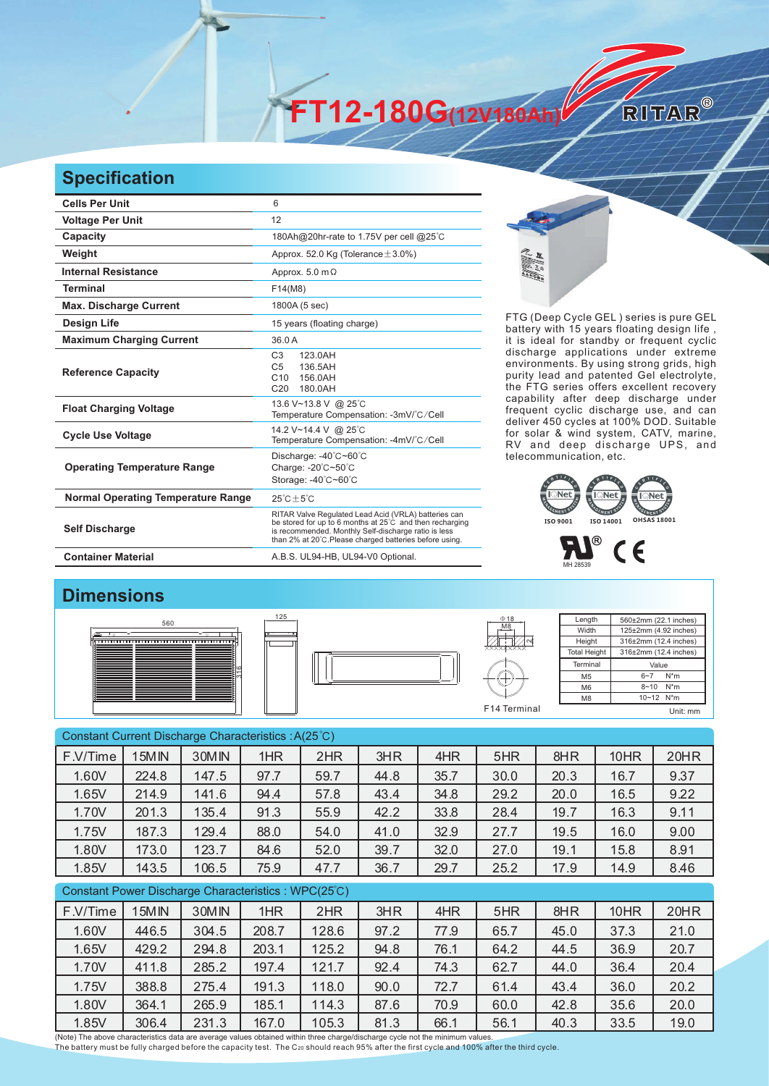**FT12-180G(12V180Ah)** 

## **Specification**

| <b>Cells Per Unit</b>                     | 6                                                                                                                                                                                                                                   |
|-------------------------------------------|-------------------------------------------------------------------------------------------------------------------------------------------------------------------------------------------------------------------------------------|
| <b>Voltage Per Unit</b>                   | 12                                                                                                                                                                                                                                  |
| Capacity                                  | 180Ah@20hr-rate to 1.75V per cell @25°C                                                                                                                                                                                             |
| Weight                                    | Approx. 52.0 Kg (Tolerance $\pm$ 3.0%)                                                                                                                                                                                              |
| <b>Internal Resistance</b>                | Approx. $5.0 \text{ m}\Omega$                                                                                                                                                                                                       |
| <b>Terminal</b>                           | F14(M8)                                                                                                                                                                                                                             |
| <b>Max. Discharge Current</b>             | 1800A (5 sec)                                                                                                                                                                                                                       |
| <b>Design Life</b>                        | 15 years (floating charge)                                                                                                                                                                                                          |
| <b>Maximum Charging Current</b>           | 36.0 A                                                                                                                                                                                                                              |
| <b>Reference Capacity</b>                 | C <sub>3</sub><br>123.0AH<br>C <sub>5</sub><br>136.5AH<br>C10<br>156 0AH<br>C <sub>20</sub><br>180.0AH                                                                                                                              |
| <b>Float Charging Voltage</b>             | 13.6 V~13.8 V @ 25°C<br>Temperature Compensation: -3mV/°C/Cell                                                                                                                                                                      |
| <b>Cycle Use Voltage</b>                  | 14.2 V~14.4 V @ 25°C<br>Temperature Compensation: -4mV/°C/Cell                                                                                                                                                                      |
| <b>Operating Temperature Range</b>        | Discharge: -40°C~60°C<br>Charge: -20°C~50°C<br>Storage: -40°C~60°C                                                                                                                                                                  |
| <b>Normal Operating Temperature Range</b> | $25^{\circ}$ C + 5 $^{\circ}$ C                                                                                                                                                                                                     |
| <b>Self Discharge</b>                     | RITAR Valve Regulated Lead Acid (VRLA) batteries can<br>be stored for up to 6 months at 25°C and then recharging<br>is recommended. Monthly Self-discharge ratio is less<br>than 2% at 20°C. Please charged batteries before using. |
| <b>Container Material</b>                 | A.B.S. UL94-HB, UL94-V0 Optional.                                                                                                                                                                                                   |



RITAR®

FTG (Deep Cycle GEL) series is pure GEL battery with 15 years floating design life, it is ideal for standby or frequent cyclic discharge applications under extreme environments. By using strong grids, high purity lead and patented Gel electrolyte, the FTG series offers excellent recovery capability after deep discharge under frequent cyclic discharge use, and can deliver 450 cycles at 100% DOD. Suitable for solar & wind system, CATV, marine, RV and deep discharge UPS, and telecommunication, etc.





## **Dimensions**







| Length              | 560±2mm (22.1 inches)      |
|---------------------|----------------------------|
| Width               | 125±2mm (4.92 inches)      |
| Height              | 316±2mm (12.4 inches)      |
| <b>Total Height</b> | 316±2mm (12.4 inches)      |
| Terminal            | Value                      |
| M <sub>5</sub>      | $N^*m$<br>$6 - 7$          |
| M <sub>6</sub>      | $N^*m$<br>$8 - 10$         |
| M <sub>8</sub>      | $10 - 12$ N <sup>*</sup> m |
|                     |                            |

Constant Current Discharge Characteristics : A(25℃) Constant Power Discharge Characteristics : WPC(25℃) F.V/Time | 15MIN | 30MIN | 1HR | 2HR | 3HR | 4HR | 5HR | 8HR | 10HR | 20HR 1.60V 224.8 147.5 97.7 59.7 44.8 35.7 30.0 20.3 16.7 9.37 1.65V 214.9 141.6 94.4 57.8 43.4 34.8 29.2 20.0 16.5 9.22 1.70V 201.3 135.4 91.3 55.9 42.2 33.8 28.4 19.7 16.3 9.11 1.75V 187.3 129.4 88.0 54.0 41.0 32.9 27.7 19.5 16.0 9.00 1.80V 173.0 123.7 84.6 52.0 39.7 32.0 27.0 19.1 15.8 8.91 1.85V 143.5 106.5 75.9 47.7 36.7 29.7 25.2 17.9 14.9 8.46 F.V/Time | 15MIN | 30MIN | 1HR | 2HR | 3HR | 4HR | 5HR | 8HR | 10HR | 20HR 1.60V 446.5 304.5 208.7 128.6 97.2 77.9 65.7 45.0 37.3 21.0 1.65V 429.2 294.8 203.1 125.2 94.8 76.1 64.2 44.5 36.9 20.7 1.70V 411.8 285.2 197.4 121.7 92.4 74.3 62.7 44.0 36.4 20.4 1.75V 388.8 275.4 191.3 118.0 90.0 72.7 61.4 43.4 36.0 20.2 1.80V 364.1 265.9 185.1 114.3 87.6 70.9 60.0 42.8 35.6 20.0

1.85V | 306.4 | 231.3 | 167.0 | 105.3 | 81.3 | 66.1 | 56.1 | 40.3 | 33.5 | 19.0

(Note) The above characteristics data are average values obtained within three charge/discharge cycle not the minimum values. The battery must be fully charged before the capacity test. The C<sub>20</sub> should reach 95% after the first cycle and 100% after the third cycle.